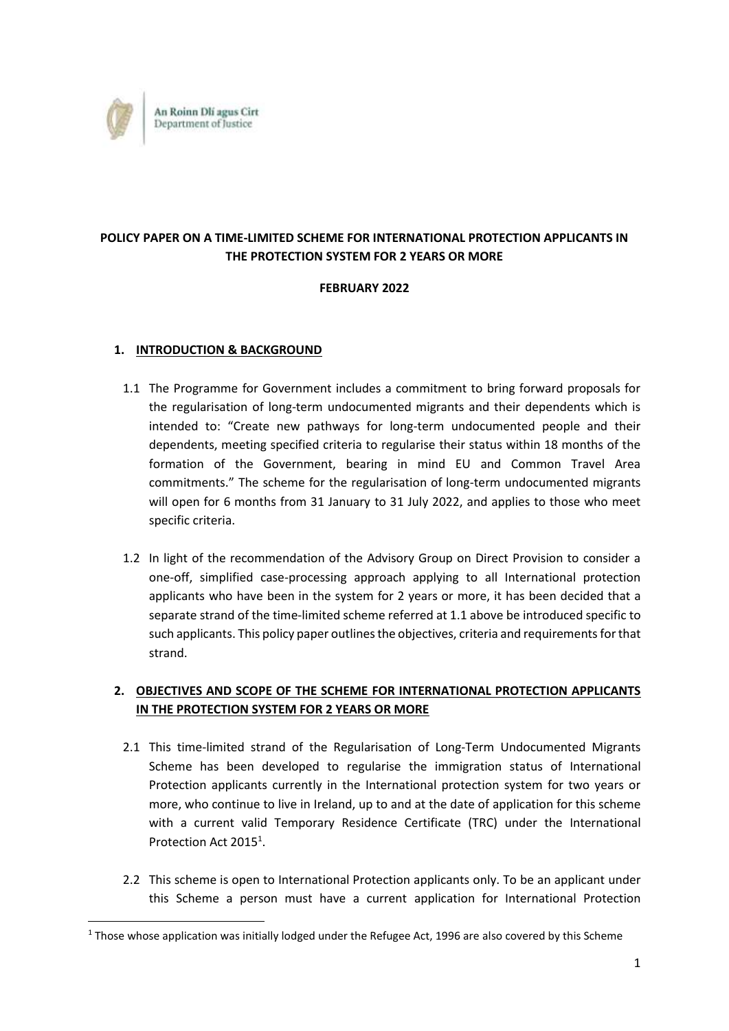

# **POLICY PAPER ON A TIME-LIMITED SCHEME FOR INTERNATIONAL PROTECTION APPLICANTS IN THE PROTECTION SYSTEM FOR 2 YEARS OR MORE**

### **FEBRUARY 2022**

## **1. INTRODUCTION & BACKGROUND**

**.** 

- 1.1 The Programme for Government includes a commitment to bring forward proposals for the regularisation of long-term undocumented migrants and their dependents which is intended to: "Create new pathways for long-term undocumented people and their dependents, meeting specified criteria to regularise their status within 18 months of the formation of the Government, bearing in mind EU and Common Travel Area commitments." The scheme for the regularisation of long-term undocumented migrants will open for 6 months from 31 January to 31 July 2022, and applies to those who meet specific criteria.
- 1.2 In light of the recommendation of the Advisory Group on Direct Provision to consider a one-off, simplified case-processing approach applying to all International protection applicants who have been in the system for 2 years or more, it has been decided that a separate strand of the time-limited scheme referred at 1.1 above be introduced specific to such applicants. This policy paper outlines the objectives, criteria and requirements for that strand.

# **2. OBJECTIVES AND SCOPE OF THE SCHEME FOR INTERNATIONAL PROTECTION APPLICANTS IN THE PROTECTION SYSTEM FOR 2 YEARS OR MORE**

- 2.1 This time-limited strand of the Regularisation of Long-Term Undocumented Migrants Scheme has been developed to regularise the immigration status of International Protection applicants currently in the International protection system for two years or more, who continue to live in Ireland, up to and at the date of application for this scheme with a current valid Temporary Residence Certificate (TRC) under the International Protection Act 2015<sup>1</sup>.
- <span id="page-0-0"></span>2.2 This scheme is open to International Protection applicants only. To be an applicant under this Scheme a person must have a current application for International Protection

 $1$  Those whose application was initially lodged under the Refugee Act, 1996 are also covered by this Scheme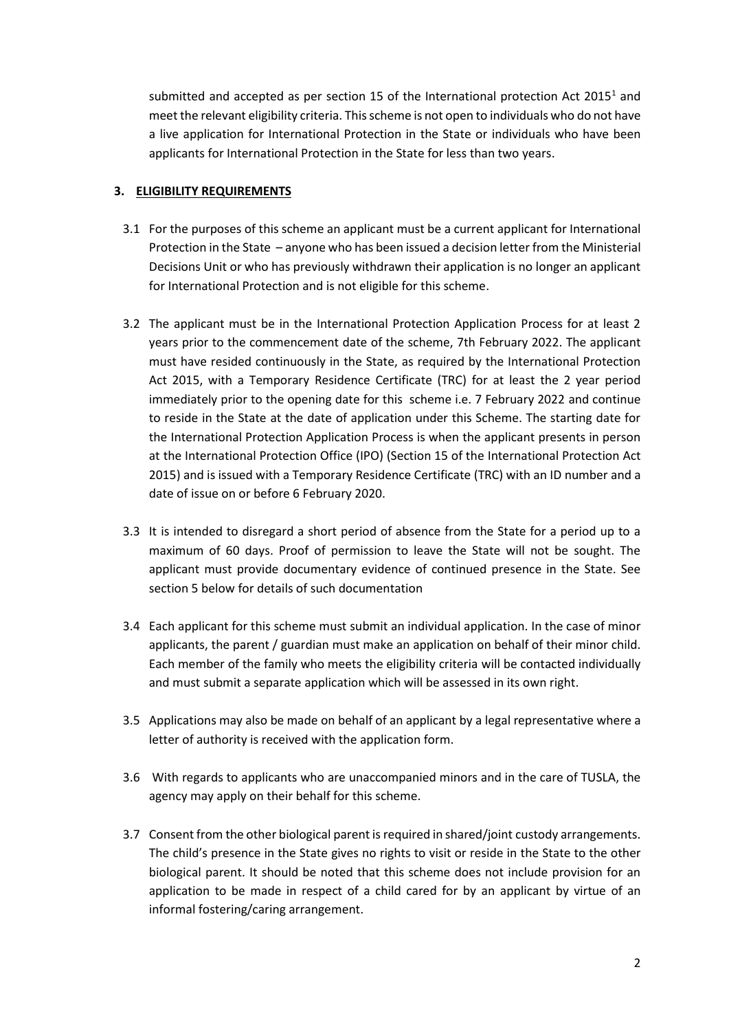submitted and accepted as per section 1[5](#page-0-0) of the International protection Act  $2015<sup>1</sup>$  and meet the relevant eligibility criteria. This scheme is not open to individuals who do not have a live application for International Protection in the State or individuals who have been applicants for International Protection in the State for less than two years.

## **3. ELIGIBILITY REQUIREMENTS**

- 3.1 For the purposes of this scheme an applicant must be a current applicant for International Protection in the State – anyone who has been issued a decision letter from the Ministerial Decisions Unit or who has previously withdrawn their application is no longer an applicant for International Protection and is not eligible for this scheme.
- 3.2 The applicant must be in the International Protection Application Process for at least 2 years prior to the commencement date of the scheme, 7th February 2022. The applicant must have resided continuously in the State, as required by the International Protection Act 2015, with a Temporary Residence Certificate (TRC) for at least the 2 year period immediately prior to the opening date for this scheme i.e. 7 February 2022 and continue to reside in the State at the date of application under this Scheme. The starting date for the International Protection Application Process is when the applicant presents in person at the International Protection Office (IPO) (Section 15 of the International Protection Act 2015) and is issued with a Temporary Residence Certificate (TRC) with an ID number and a date of issue on or before 6 February 2020.
- 3.3 It is intended to disregard a short period of absence from the State for a period up to a maximum of 60 days. Proof of permission to leave the State will not be sought. The applicant must provide documentary evidence of continued presence in the State. See section 5 below for details of such documentation
- 3.4 Each applicant for this scheme must submit an individual application. In the case of minor applicants, the parent / guardian must make an application on behalf of their minor child. Each member of the family who meets the eligibility criteria will be contacted individually and must submit a separate application which will be assessed in its own right.
- 3.5 Applications may also be made on behalf of an applicant by a legal representative where a letter of authority is received with the application form.
- 3.6 With regards to applicants who are unaccompanied minors and in the care of TUSLA, the agency may apply on their behalf for this scheme.
- 3.7 Consent from the other biological parent is required in shared/joint custody arrangements. The child's presence in the State gives no rights to visit or reside in the State to the other biological parent. It should be noted that this scheme does not include provision for an application to be made in respect of a child cared for by an applicant by virtue of an informal fostering/caring arrangement.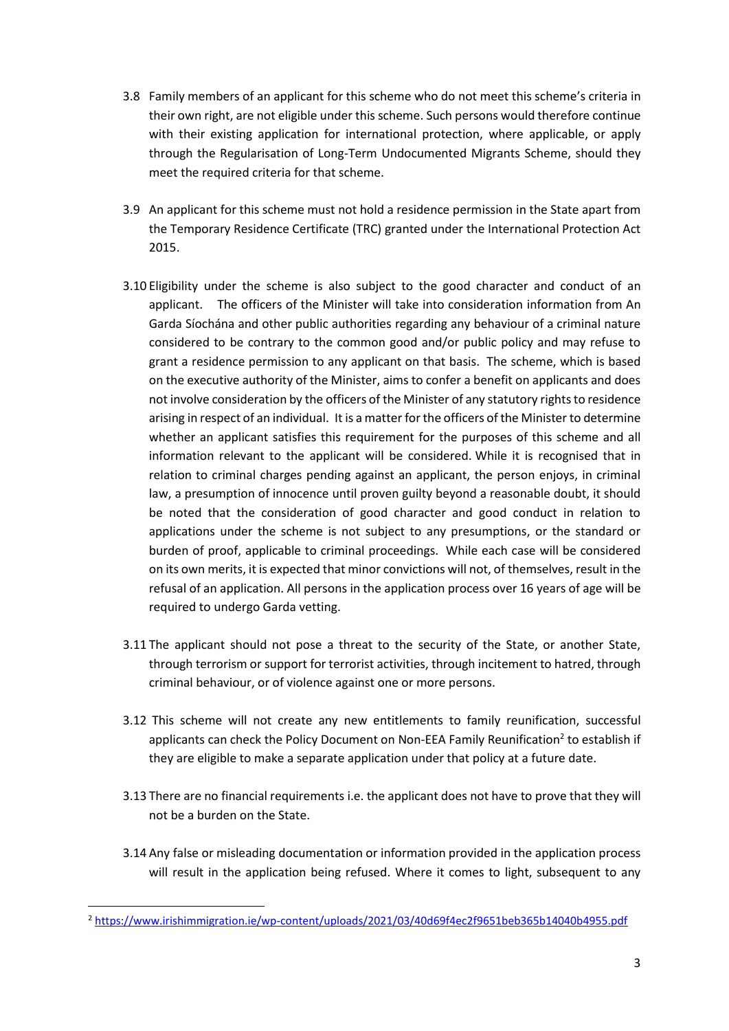- 3.8 Family members of an applicant for this scheme who do not meet this scheme's criteria in their own right, are not eligible under this scheme. Such persons would therefore continue with their existing application for international protection, where applicable, or apply through the Regularisation of Long-Term Undocumented Migrants Scheme, should they meet the required criteria for that scheme.
- 3.9 An applicant for this scheme must not hold a residence permission in the State apart from the Temporary Residence Certificate (TRC) granted under the International Protection Act 2015.
- 3.10 Eligibility under the scheme is also subject to the good character and conduct of an applicant. The officers of the Minister will take into consideration information from An Garda Síochána and other public authorities regarding any behaviour of a criminal nature considered to be contrary to the common good and/or public policy and may refuse to grant a residence permission to any applicant on that basis. The scheme, which is based on the executive authority of the Minister, aims to confer a benefit on applicants and does not involve consideration by the officers of the Minister of any statutory rights to residence arising in respect of an individual. It is a matter for the officers of the Minister to determine whether an applicant satisfies this requirement for the purposes of this scheme and all information relevant to the applicant will be considered. While it is recognised that in relation to criminal charges pending against an applicant, the person enjoys, in criminal law, a presumption of innocence until proven guilty beyond a reasonable doubt, it should be noted that the consideration of good character and good conduct in relation to applications under the scheme is not subject to any presumptions, or the standard or burden of proof, applicable to criminal proceedings. While each case will be considered on its own merits, it is expected that minor convictions will not, of themselves, result in the refusal of an application. All persons in the application process over 16 years of age will be required to undergo Garda vetting.
- 3.11 The applicant should not pose a threat to the security of the State, or another State, through terrorism or support for terrorist activities, through incitement to hatred, through criminal behaviour, or of violence against one or more persons.
- 3.12 This scheme will not create any new entitlements to family reunification, successful applicants can check the Policy Document on Non-EEA Family Reunification<sup>2</sup> to establish if they are eligible to make a separate application under that policy at a future date.
- 3.13 There are no financial requirements i.e. the applicant does not have to prove that they will not be a burden on the State.
- 3.14 Any false or misleading documentation or information provided in the application process will result in the application being refused. Where it comes to light, subsequent to any

1

<sup>2</sup> <https://www.irishimmigration.ie/wp-content/uploads/2021/03/40d69f4ec2f9651beb365b14040b4955.pdf>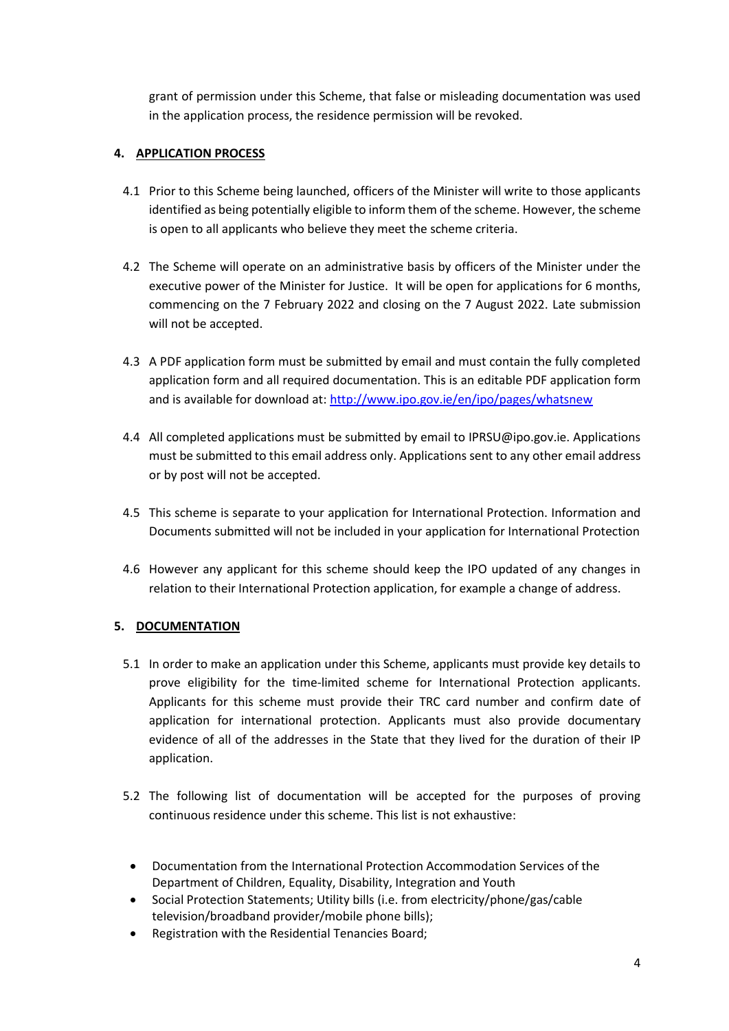grant of permission under this Scheme, that false or misleading documentation was used in the application process, the residence permission will be revoked.

## **4. APPLICATION PROCESS**

- 4.1 Prior to this Scheme being launched, officers of the Minister will write to those applicants identified as being potentially eligible to inform them of the scheme. However, the scheme is open to all applicants who believe they meet the scheme criteria.
- 4.2 The Scheme will operate on an administrative basis by officers of the Minister under the executive power of the Minister for Justice. It will be open for applications for 6 months, commencing on the 7 February 2022 and closing on the 7 August 2022. Late submission will not be accepted.
- 4.3 A PDF application form must be submitted by email and must contain the fully completed application form and all required documentation. This is an editable PDF application form and is available for download at: <http://www.ipo.gov.ie/en/ipo/pages/whatsnew>
- 4.4 All completed applications must be submitted by email to IPRSU@ipo.gov.ie. Applications must be submitted to this email address only. Applications sent to any other email address or by post will not be accepted.
- 4.5 This scheme is separate to your application for International Protection. Information and Documents submitted will not be included in your application for International Protection
- 4.6 However any applicant for this scheme should keep the IPO updated of any changes in relation to their International Protection application, for example a change of address.

### **5. DOCUMENTATION**

- 5.1 In order to make an application under this Scheme, applicants must provide key details to prove eligibility for the time-limited scheme for International Protection applicants. Applicants for this scheme must provide their TRC card number and confirm date of application for international protection. Applicants must also provide documentary evidence of all of the addresses in the State that they lived for the duration of their IP application.
- 5.2 The following list of documentation will be accepted for the purposes of proving continuous residence under this scheme. This list is not exhaustive:
- Documentation from the International Protection Accommodation Services of the Department of Children, Equality, Disability, Integration and Youth
- Social Protection Statements; Utility bills (i.e. from electricity/phone/gas/cable television/broadband provider/mobile phone bills);
- Registration with the Residential Tenancies Board;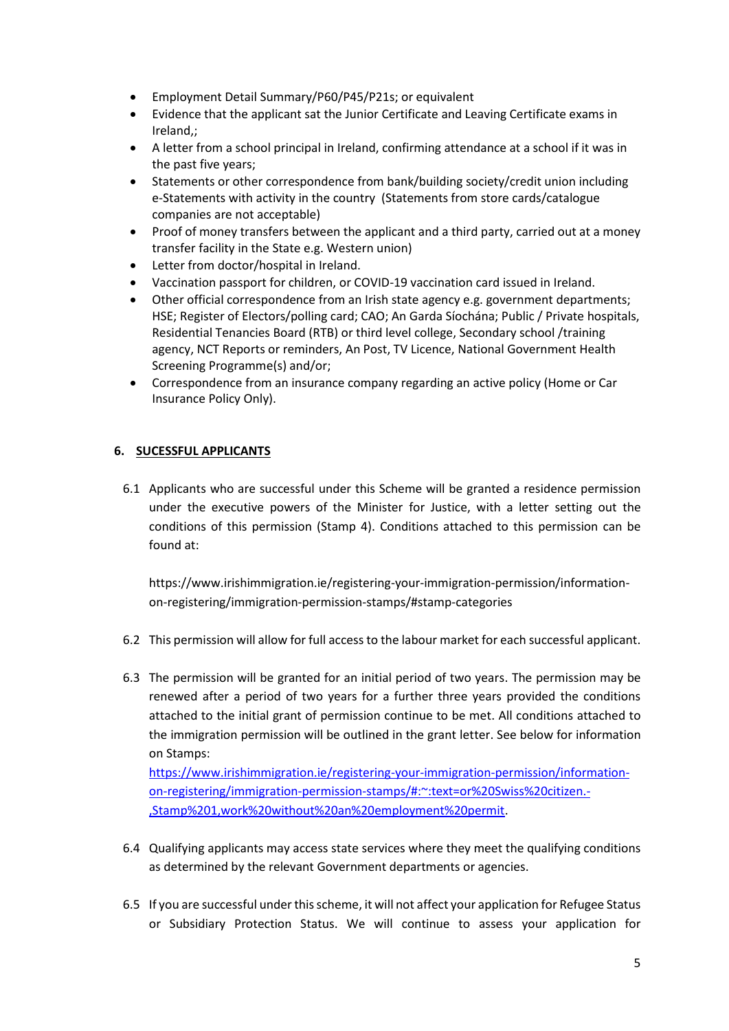- Employment Detail Summary/P60/P45/P21s; or equivalent
- Evidence that the applicant sat the Junior Certificate and Leaving Certificate exams in Ireland,;
- A letter from a school principal in Ireland, confirming attendance at a school if it was in the past five years;
- Statements or other correspondence from bank/building society/credit union including e-Statements with activity in the country (Statements from store cards/catalogue companies are not acceptable)
- Proof of money transfers between the applicant and a third party, carried out at a money transfer facility in the State e.g. Western union)
- Letter from doctor/hospital in Ireland.
- Vaccination passport for children, or COVID-19 vaccination card issued in Ireland.
- Other official correspondence from an Irish state agency e.g. government departments; HSE; Register of Electors/polling card; CAO; An Garda Síochána; Public / Private hospitals, Residential Tenancies Board (RTB) or third level college, Secondary school /training agency, NCT Reports or reminders, An Post, TV Licence, National Government Health Screening Programme(s) and/or;
- Correspondence from an insurance company regarding an active policy (Home or Car Insurance Policy Only).

#### **6. SUCESSFUL APPLICANTS**

6.1 Applicants who are successful under this Scheme will be granted a residence permission under the executive powers of the Minister for Justice, with a letter setting out the conditions of this permission (Stamp 4). Conditions attached to this permission can be found at:

[https://www.irishimmigration.ie/registering-your-immigration-permission/information](https://www.irishimmigration.ie/registering-your-immigration-permission/information-on-registering/immigration-permission-stamps/#stamp-categories)[on-registering/immigration-permission-stamps/#stamp-categories](https://www.irishimmigration.ie/registering-your-immigration-permission/information-on-registering/immigration-permission-stamps/#stamp-categories)

- 6.2 This permission will allow for full access to the labour market for each successful applicant.
- 6.3 The permission will be granted for an initial period of two years. The permission may be renewed after a period of two years for a further three years provided the conditions attached to the initial grant of permission continue to be met. All conditions attached to the immigration permission will be outlined in the grant letter. See below for information on Stamps:

[https://www.irishimmigration.ie/registering-your-immigration-permission/information](https://www.irishimmigration.ie/registering-your-immigration-permission/information-on-registering/immigration-permission-stamps/#:~:text=or%20Swiss%20citizen.-,Stamp%201,work%20without%20an%20employment%20permit)[on-registering/immigration-permission-stamps/#:~:text=or%20Swiss%20citizen.-](https://www.irishimmigration.ie/registering-your-immigration-permission/information-on-registering/immigration-permission-stamps/#:~:text=or%20Swiss%20citizen.-,Stamp%201,work%20without%20an%20employment%20permit) [,Stamp%201,work%20without%20an%20employment%20permit.](https://www.irishimmigration.ie/registering-your-immigration-permission/information-on-registering/immigration-permission-stamps/#:~:text=or%20Swiss%20citizen.-,Stamp%201,work%20without%20an%20employment%20permit)

- 6.4 Qualifying applicants may access state services where they meet the qualifying conditions as determined by the relevant Government departments or agencies.
- 6.5 If you are successful under this scheme, it will not affect your application for Refugee Status or Subsidiary Protection Status. We will continue to assess your application for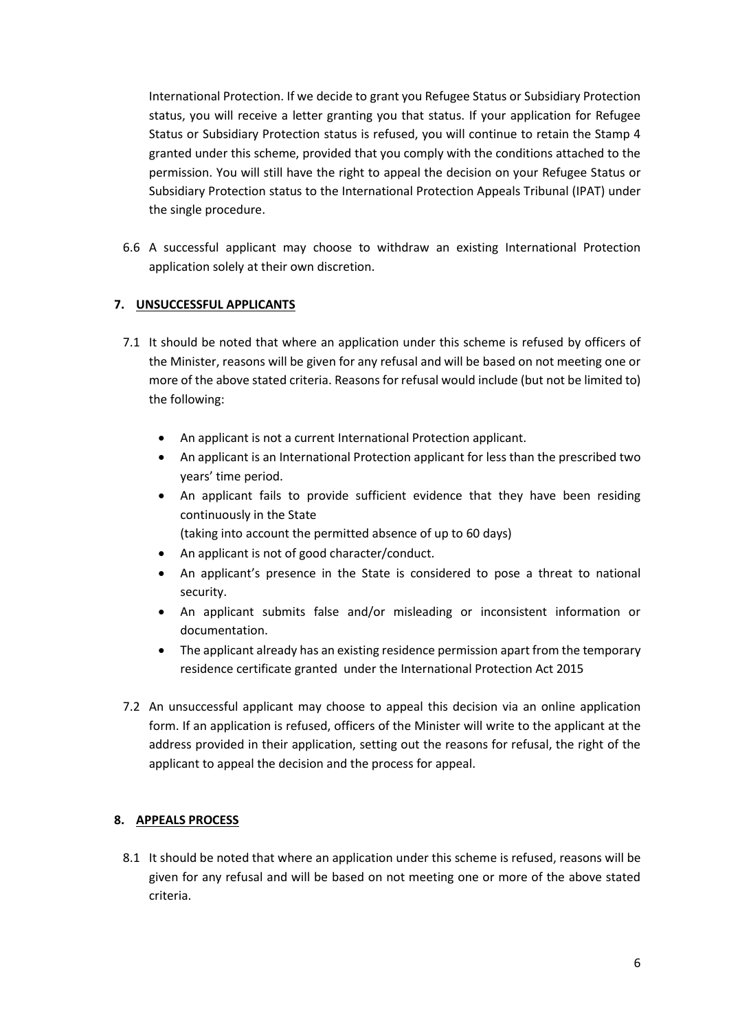International Protection. If we decide to grant you Refugee Status or Subsidiary Protection status, you will receive a letter granting you that status. If your application for Refugee Status or Subsidiary Protection status is refused, you will continue to retain the Stamp 4 granted under this scheme, provided that you comply with the conditions attached to the permission. You will still have the right to appeal the decision on your Refugee Status or Subsidiary Protection status to the International Protection Appeals Tribunal (IPAT) under the single procedure.

6.6 A successful applicant may choose to withdraw an existing International Protection application solely at their own discretion.

### **7. UNSUCCESSFUL APPLICANTS**

- 7.1 It should be noted that where an application under this scheme is refused by officers of the Minister, reasons will be given for any refusal and will be based on not meeting one or more of the above stated criteria. Reasons for refusal would include (but not be limited to) the following:
	- An applicant is not a current International Protection applicant.
	- An applicant is an International Protection applicant for less than the prescribed two years' time period.
	- An applicant fails to provide sufficient evidence that they have been residing continuously in the State
		- (taking into account the permitted absence of up to 60 days)
	- An applicant is not of good character/conduct.
	- An applicant's presence in the State is considered to pose a threat to national security.
	- An applicant submits false and/or misleading or inconsistent information or documentation.
	- The applicant already has an existing residence permission apart from the temporary residence certificate granted under the International Protection Act 2015
- 7.2 An unsuccessful applicant may choose to appeal this decision via an online application form. If an application is refused, officers of the Minister will write to the applicant at the address provided in their application, setting out the reasons for refusal, the right of the applicant to appeal the decision and the process for appeal.

### **8. APPEALS PROCESS**

8.1 It should be noted that where an application under this scheme is refused, reasons will be given for any refusal and will be based on not meeting one or more of the above stated criteria.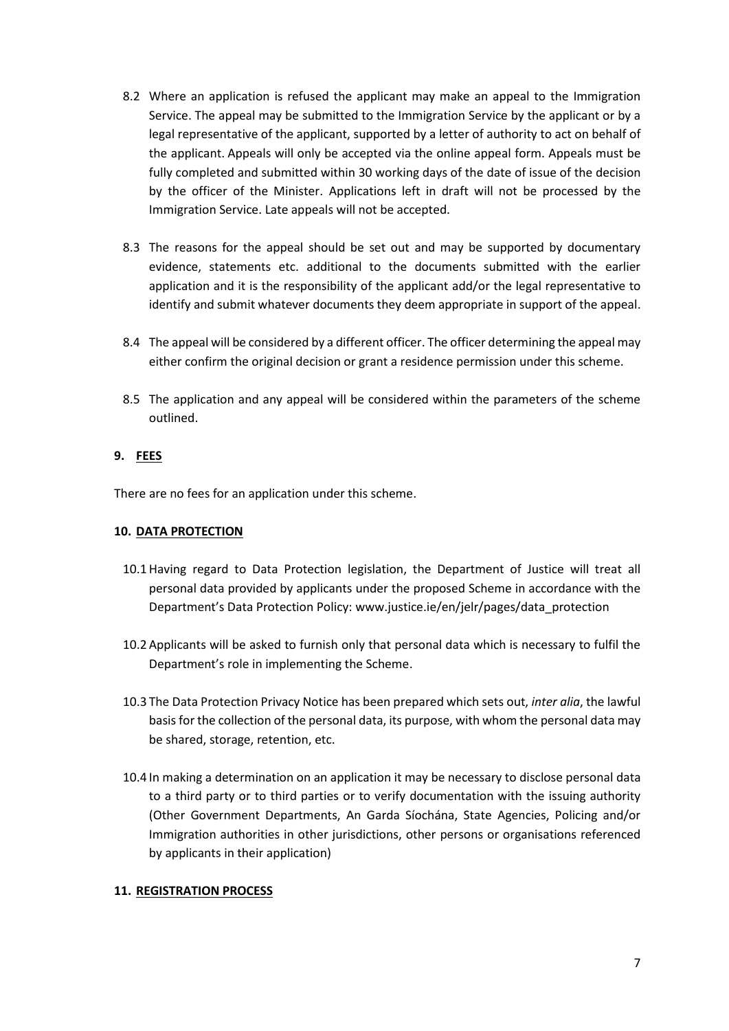- 8.2 Where an application is refused the applicant may make an appeal to the Immigration Service. The appeal may be submitted to the Immigration Service by the applicant or by a legal representative of the applicant, supported by a letter of authority to act on behalf of the applicant. Appeals will only be accepted via the online appeal form. Appeals must be fully completed and submitted within 30 working days of the date of issue of the decision by the officer of the Minister. Applications left in draft will not be processed by the Immigration Service. Late appeals will not be accepted.
- 8.3 The reasons for the appeal should be set out and may be supported by documentary evidence, statements etc. additional to the documents submitted with the earlier application and it is the responsibility of the applicant add/or the legal representative to identify and submit whatever documents they deem appropriate in support of the appeal.
- 8.4 The appeal will be considered by a different officer. The officer determining the appeal may either confirm the original decision or grant a residence permission under this scheme.
- 8.5 The application and any appeal will be considered within the parameters of the scheme outlined.

### **9. FEES**

There are no fees for an application under this scheme.

#### **10. DATA PROTECTION**

- 10.1 Having regard to Data Protection legislation, the Department of Justice will treat all personal data provided by applicants under the proposed Scheme in accordance with the Department's Data Protection Policy: [www.justice.ie/en/jelr/pages/data\\_protection](http://www.justice.ie/en/jelr/pages/data_protection)
- 10.2 Applicants will be asked to furnish only that personal data which is necessary to fulfil the Department's role in implementing the Scheme.
- 10.3 The Data Protection Privacy Notice has been prepared which sets out, *inter alia*, the lawful basis for the collection of the personal data, its purpose, with whom the personal data may be shared, storage, retention, etc.
- 10.4 In making a determination on an application it may be necessary to disclose personal data to a third party or to third parties or to verify documentation with the issuing authority (Other Government Departments, An Garda Síochána, State Agencies, Policing and/or Immigration authorities in other jurisdictions, other persons or organisations referenced by applicants in their application)

### **11. REGISTRATION PROCESS**